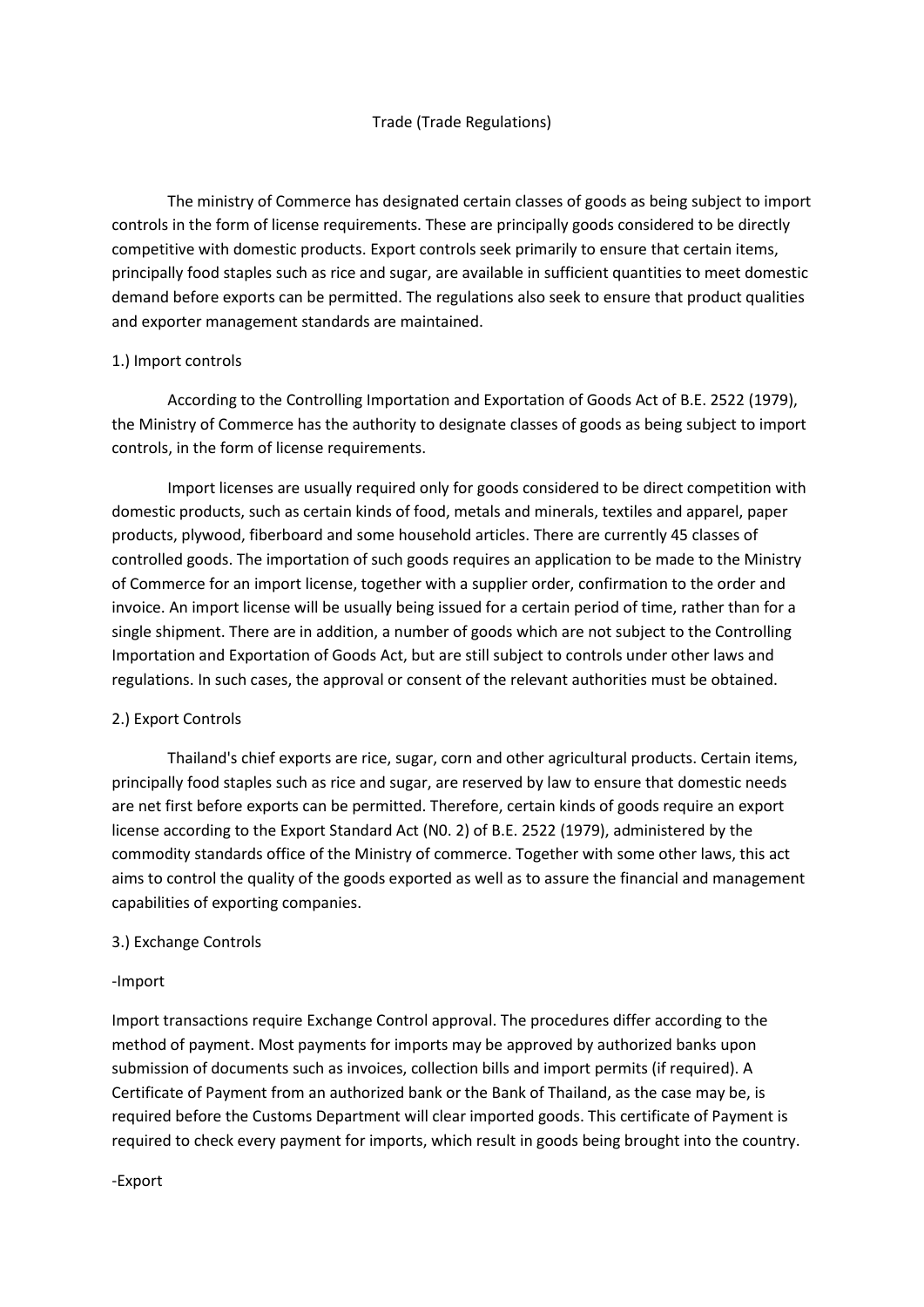The ministry of Commerce has designated certain classes of goods as being subject to import controls in the form of license requirements. These are principally goods considered to be directly competitive with domestic products. Export controls seek primarily to ensure that certain items, principally food staples such as rice and sugar, are available in sufficient quantities to meet domestic demand before exports can be permitted. The regulations also seek to ensure that product qualities and exporter management standards are maintained.

## 1.) Import controls

According to the Controlling Importation and Exportation of Goods Act of B.E. 2522 (1979), the Ministry of Commerce has the authority to designate classes of goods as being subject to import controls, in the form of license requirements.

Import licenses are usually required only for goods considered to be direct competition with domestic products, such as certain kinds of food, metals and minerals, textiles and apparel, paper products, plywood, fiberboard and some household articles. There are currently 45 classes of controlled goods. The importation of such goods requires an application to be made to the Ministry of Commerce for an import license, together with a supplier order, confirmation to the order and invoice. An import license will be usually being issued for a certain period of time, rather than for a single shipment. There are in addition, a number of goods which are not subject to the Controlling Importation and Exportation of Goods Act, but are still subject to controls under other laws and regulations. In such cases, the approval or consent of the relevant authorities must be obtained.

## 2.) Export Controls

Thailand's chief exports are rice, sugar, corn and other agricultural products. Certain items, principally food staples such as rice and sugar, are reserved by law to ensure that domestic needs are net first before exports can be permitted. Therefore, certain kinds of goods require an export license according to the Export Standard Act (N0. 2) of B.E. 2522 (1979), administered by the commodity standards office of the Ministry of commerce. Together with some other laws, this act aims to control the quality of the goods exported as well as to assure the financial and management capabilities of exporting companies.

## 3.) Exchange Controls

## -Import

Import transactions require Exchange Control approval. The procedures differ according to the method of payment. Most payments for imports may be approved by authorized banks upon submission of documents such as invoices, collection bills and import permits (if required). A Certificate of Payment from an authorized bank or the Bank of Thailand, as the case may be, is required before the Customs Department will clear imported goods. This certificate of Payment is required to check every payment for imports, which result in goods being brought into the country.

-Export